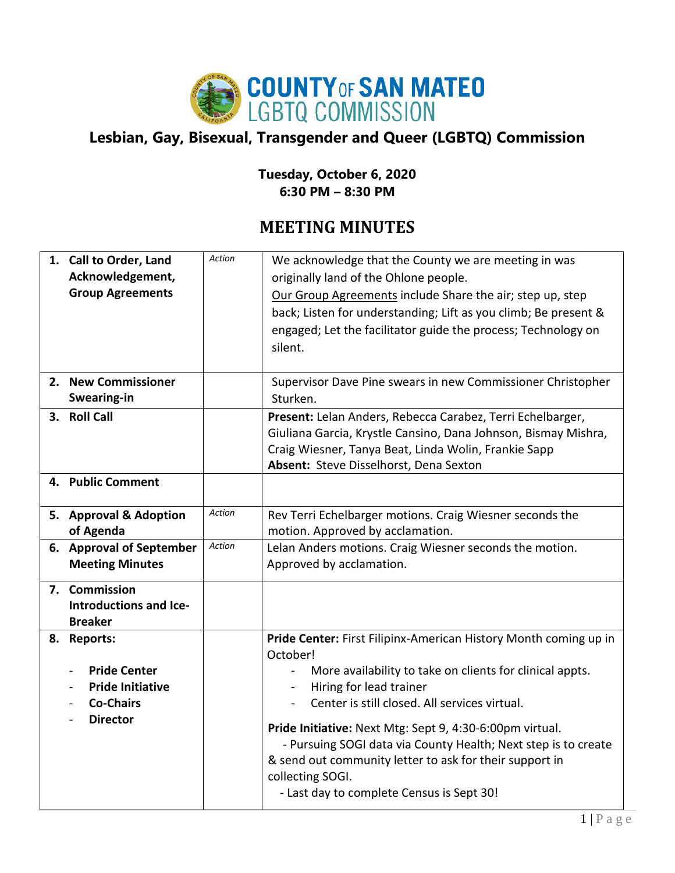

## **Lesbian, Gay, Bisexual, Transgender and Queer (LGBTQ) Commission**

## **Tuesday, October 6, 2020 6:30 PM – 8:30 PM**

## **MEETING MINUTES**

| Acknowledgement,<br><b>Group Agreements</b>                                                                           | Action                                                                                                                                                                   | We acknowledge that the County we are meeting in was<br>originally land of the Ohlone people.<br>Our Group Agreements include Share the air; step up, step<br>back; Listen for understanding; Lift as you climb; Be present &<br>engaged; Let the facilitator guide the process; Technology on<br>silent.                                                                                                                                                                                        |
|-----------------------------------------------------------------------------------------------------------------------|--------------------------------------------------------------------------------------------------------------------------------------------------------------------------|--------------------------------------------------------------------------------------------------------------------------------------------------------------------------------------------------------------------------------------------------------------------------------------------------------------------------------------------------------------------------------------------------------------------------------------------------------------------------------------------------|
| Swearing-in                                                                                                           |                                                                                                                                                                          | Supervisor Dave Pine swears in new Commissioner Christopher<br>Sturken.                                                                                                                                                                                                                                                                                                                                                                                                                          |
|                                                                                                                       |                                                                                                                                                                          | Present: Lelan Anders, Rebecca Carabez, Terri Echelbarger,<br>Giuliana Garcia, Krystle Cansino, Dana Johnson, Bismay Mishra,<br>Craig Wiesner, Tanya Beat, Linda Wolin, Frankie Sapp<br>Absent: Steve Disselhorst, Dena Sexton                                                                                                                                                                                                                                                                   |
|                                                                                                                       |                                                                                                                                                                          |                                                                                                                                                                                                                                                                                                                                                                                                                                                                                                  |
| of Agenda                                                                                                             | Action                                                                                                                                                                   | Rev Terri Echelbarger motions. Craig Wiesner seconds the<br>motion. Approved by acclamation.                                                                                                                                                                                                                                                                                                                                                                                                     |
| <b>Meeting Minutes</b>                                                                                                | Action                                                                                                                                                                   | Lelan Anders motions. Craig Wiesner seconds the motion.<br>Approved by acclamation.                                                                                                                                                                                                                                                                                                                                                                                                              |
| Introductions and Ice-<br><b>Breaker</b>                                                                              |                                                                                                                                                                          |                                                                                                                                                                                                                                                                                                                                                                                                                                                                                                  |
| <b>Pride Center</b><br>$\qquad \qquad \blacksquare$<br><b>Pride Initiative</b><br><b>Co-Chairs</b><br><b>Director</b> |                                                                                                                                                                          | Pride Center: First Filipinx-American History Month coming up in<br>October!<br>More availability to take on clients for clinical appts.<br>$\blacksquare$<br>Hiring for lead trainer<br>Center is still closed. All services virtual.<br>Pride Initiative: Next Mtg: Sept 9, 4:30-6:00pm virtual.<br>- Pursuing SOGI data via County Health; Next step is to create<br>& send out community letter to ask for their support in<br>collecting SOGI.<br>- Last day to complete Census is Sept 30! |
|                                                                                                                       | 1. Call to Order, Land<br>2. New Commissioner<br>3. Roll Call<br>4. Public Comment<br>5. Approval & Adoption<br>6. Approval of September<br>7. Commission<br>8. Reports: |                                                                                                                                                                                                                                                                                                                                                                                                                                                                                                  |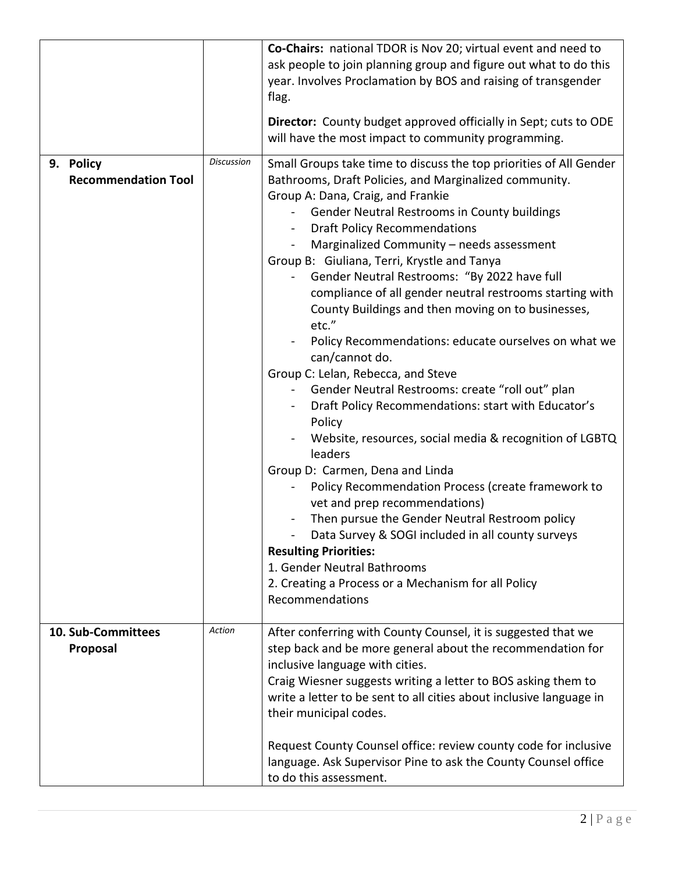|                                         |                   | Co-Chairs: national TDOR is Nov 20; virtual event and need to<br>ask people to join planning group and figure out what to do this<br>year. Involves Proclamation by BOS and raising of transgender<br>flag.<br>Director: County budget approved officially in Sept; cuts to ODE<br>will have the most impact to community programming.                                                                                                                                                                                                                                                                                                                                                                                                                                                                                                                                                                                                                                                                                                                                                                                                                                                                               |
|-----------------------------------------|-------------------|----------------------------------------------------------------------------------------------------------------------------------------------------------------------------------------------------------------------------------------------------------------------------------------------------------------------------------------------------------------------------------------------------------------------------------------------------------------------------------------------------------------------------------------------------------------------------------------------------------------------------------------------------------------------------------------------------------------------------------------------------------------------------------------------------------------------------------------------------------------------------------------------------------------------------------------------------------------------------------------------------------------------------------------------------------------------------------------------------------------------------------------------------------------------------------------------------------------------|
| 9. Policy<br><b>Recommendation Tool</b> | <b>Discussion</b> | Small Groups take time to discuss the top priorities of All Gender<br>Bathrooms, Draft Policies, and Marginalized community.<br>Group A: Dana, Craig, and Frankie<br>Gender Neutral Restrooms in County buildings<br><b>Draft Policy Recommendations</b><br>Marginalized Community - needs assessment<br>Group B: Giuliana, Terri, Krystle and Tanya<br>Gender Neutral Restrooms: "By 2022 have full<br>compliance of all gender neutral restrooms starting with<br>County Buildings and then moving on to businesses,<br>etc."<br>Policy Recommendations: educate ourselves on what we<br>can/cannot do.<br>Group C: Lelan, Rebecca, and Steve<br>Gender Neutral Restrooms: create "roll out" plan<br>Draft Policy Recommendations: start with Educator's<br>Policy<br>Website, resources, social media & recognition of LGBTQ<br>leaders<br>Group D: Carmen, Dena and Linda<br>Policy Recommendation Process (create framework to<br>vet and prep recommendations)<br>Then pursue the Gender Neutral Restroom policy<br>Data Survey & SOGI included in all county surveys<br><b>Resulting Priorities:</b><br>1. Gender Neutral Bathrooms<br>2. Creating a Process or a Mechanism for all Policy<br>Recommendations |
| 10. Sub-Committees<br>Proposal          | Action            | After conferring with County Counsel, it is suggested that we<br>step back and be more general about the recommendation for<br>inclusive language with cities.<br>Craig Wiesner suggests writing a letter to BOS asking them to<br>write a letter to be sent to all cities about inclusive language in<br>their municipal codes.<br>Request County Counsel office: review county code for inclusive<br>language. Ask Supervisor Pine to ask the County Counsel office<br>to do this assessment.                                                                                                                                                                                                                                                                                                                                                                                                                                                                                                                                                                                                                                                                                                                      |